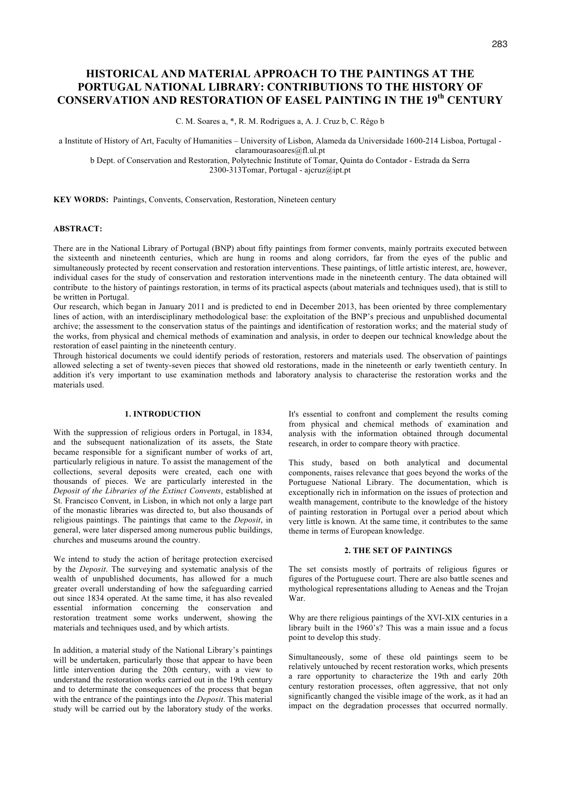# **HISTORICAL AND MATERIAL APPROACH TO THE PAINTINGS AT THE PORTUGAL NATIONAL LIBRARY: CONTRIBUTIONS TO THE HISTORY OF CONSERVATION AND RESTORATION OF EASEL PAINTING IN THE 19th CENTURY**

C. M. Soares a, \*, R. M. Rodrigues a, A. J. Cruz b, C. Rêgo b

a Institute of History of Art, Faculty of Humanities – University of Lisbon, Alameda da Universidade 1600-214 Lisboa, Portugal claramourasoares@fl.ul.pt

b Dept. of Conservation and Restoration, Polytechnic Institute of Tomar, Quinta do Contador - Estrada da Serra 2300-313Tomar, Portugal - ajcruz@ipt.pt

**KEY WORDS:** Paintings, Convents, Conservation, Restoration, Nineteen century

# **ABSTRACT:**

There are in the National Library of Portugal (BNP) about fifty paintings from former convents, mainly portraits executed between the sixteenth and nineteenth centuries, which are hung in rooms and along corridors, far from the eyes of the public and simultaneously protected by recent conservation and restoration interventions. These paintings, of little artistic interest, are, however, individual cases for the study of conservation and restoration interventions made in the nineteenth century. The data obtained will contribute to the history of paintings restoration, in terms of its practical aspects (about materials and techniques used), that is still to be written in Portugal.

Our research, which began in January 2011 and is predicted to end in December 2013, has been oriented by three complementary lines of action, with an interdisciplinary methodological base: the exploitation of the BNP's precious and unpublished documental archive; the assessment to the conservation status of the paintings and identification of restoration works; and the material study of the works, from physical and chemical methods of examination and analysis, in order to deepen our technical knowledge about the restoration of easel painting in the nineteenth century.

Through historical documents we could identify periods of restoration, restorers and materials used. The observation of paintings allowed selecting a set of twenty-seven pieces that showed old restorations, made in the nineteenth or early twentieth century. In addition it's very important to use examination methods and laboratory analysis to characterise the restoration works and the materials used.

# **1. INTRODUCTION**

With the suppression of religious orders in Portugal, in 1834, and the subsequent nationalization of its assets, the State became responsible for a significant number of works of art, particularly religious in nature. To assist the management of the collections, several deposits were created, each one with thousands of pieces. We are particularly interested in the *Deposit of the Libraries of the Extinct Convents*, established at St. Francisco Convent, in Lisbon, in which not only a large part of the monastic libraries was directed to, but also thousands of religious paintings. The paintings that came to the *Deposit*, in general, were later dispersed among numerous public buildings, churches and museums around the country.

We intend to study the action of heritage protection exercised by the *Deposit*. The surveying and systematic analysis of the wealth of unpublished documents, has allowed for a much greater overall understanding of how the safeguarding carried out since 1834 operated. At the same time, it has also revealed essential information concerning the conservation and restoration treatment some works underwent, showing the materials and techniques used, and by which artists.

In addition, a material study of the National Library's paintings will be undertaken, particularly those that appear to have been little intervention during the 20th century, with a view to understand the restoration works carried out in the 19th century and to determinate the consequences of the process that began with the entrance of the paintings into the *Deposit*. This material study will be carried out by the laboratory study of the works.

It's essential to confront and complement the results coming from physical and chemical methods of examination and analysis with the information obtained through documental research, in order to compare theory with practice.

This study, based on both analytical and documental components, raises relevance that goes beyond the works of the Portuguese National Library. The documentation, which is exceptionally rich in information on the issues of protection and wealth management, contribute to the knowledge of the history of painting restoration in Portugal over a period about which very little is known. At the same time, it contributes to the same theme in terms of European knowledge.

# **2. THE SET OF PAINTINGS**

The set consists mostly of portraits of religious figures or figures of the Portuguese court. There are also battle scenes and mythological representations alluding to Aeneas and the Trojan War.

Why are there religious paintings of the XVI-XIX centuries in a library built in the 1960's? This was a main issue and a focus point to develop this study.

Simultaneously, some of these old paintings seem to be relatively untouched by recent restoration works, which presents a rare opportunity to characterize the 19th and early 20th century restoration processes, often aggressive, that not only significantly changed the visible image of the work, as it had an impact on the degradation processes that occurred normally.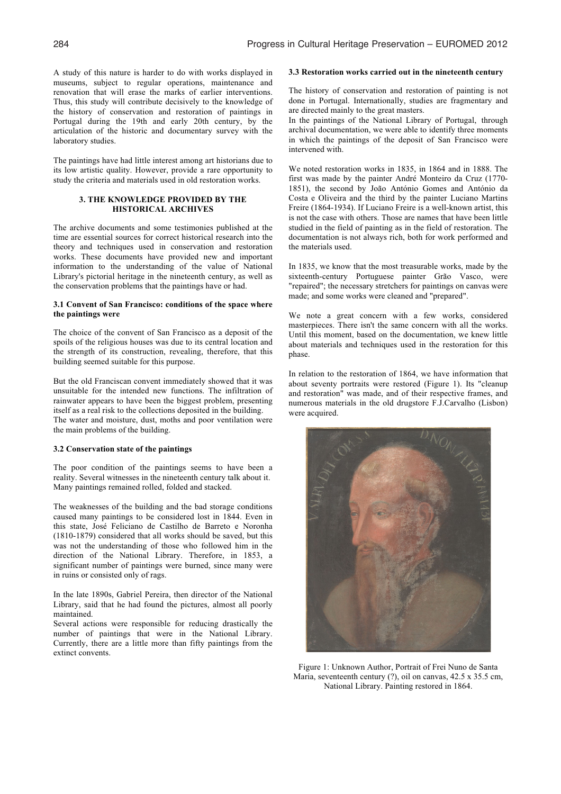A study of this nature is harder to do with works displayed in museums, subject to regular operations, maintenance and renovation that will erase the marks of earlier interventions. Thus, this study will contribute decisively to the knowledge of the history of conservation and restoration of paintings in Portugal during the 19th and early 20th century, by the articulation of the historic and documentary survey with the laboratory studies.

The paintings have had little interest among art historians due to its low artistic quality. However, provide a rare opportunity to study the criteria and materials used in old restoration works.

# **3. THE KNOWLEDGE PROVIDED BY THE HISTORICAL ARCHIVES**

The archive documents and some testimonies published at the time are essential sources for correct historical research into the theory and techniques used in conservation and restoration works. These documents have provided new and important information to the understanding of the value of National Library's pictorial heritage in the nineteenth century, as well as the conservation problems that the paintings have or had.

## **3.1 Convent of San Francisco: conditions of the space where the paintings were**

The choice of the convent of San Francisco as a deposit of the spoils of the religious houses was due to its central location and the strength of its construction, revealing, therefore, that this building seemed suitable for this purpose.

But the old Franciscan convent immediately showed that it was unsuitable for the intended new functions. The infiltration of rainwater appears to have been the biggest problem, presenting itself as a real risk to the collections deposited in the building. The water and moisture, dust, moths and poor ventilation were the main problems of the building.

#### **3.2 Conservation state of the paintings**

The poor condition of the paintings seems to have been a reality. Several witnesses in the nineteenth century talk about it. Many paintings remained rolled, folded and stacked.

The weaknesses of the building and the bad storage conditions caused many paintings to be considered lost in 1844. Even in this state, José Feliciano de Castilho de Barreto e Noronha (1810-1879) considered that all works should be saved, but this was not the understanding of those who followed him in the direction of the National Library. Therefore, in 1853, a significant number of paintings were burned, since many were in ruins or consisted only of rags.

In the late 1890s, Gabriel Pereira, then director of the National Library, said that he had found the pictures, almost all poorly maintained.

Several actions were responsible for reducing drastically the number of paintings that were in the National Library. Currently, there are a little more than fifty paintings from the extinct convents.

### **3.3 Restoration works carried out in the nineteenth century**

The history of conservation and restoration of painting is not done in Portugal. Internationally, studies are fragmentary and are directed mainly to the great masters.

In the paintings of the National Library of Portugal, through archival documentation, we were able to identify three moments in which the paintings of the deposit of San Francisco were intervened with.

We noted restoration works in 1835, in 1864 and in 1888. The first was made by the painter André Monteiro da Cruz (1770- 1851), the second by João António Gomes and António da Costa e Oliveira and the third by the painter Luciano Martins Freire (1864-1934). If Luciano Freire is a well-known artist, this is not the case with others. Those are names that have been little studied in the field of painting as in the field of restoration. The documentation is not always rich, both for work performed and the materials used.

In 1835, we know that the most treasurable works, made by the sixteenth-century Portuguese painter Grão Vasco, were "repaired"; the necessary stretchers for paintings on canvas were made; and some works were cleaned and "prepared".

We note a great concern with a few works, considered masterpieces. There isn't the same concern with all the works. Until this moment, based on the documentation, we knew little about materials and techniques used in the restoration for this phase.

In relation to the restoration of 1864, we have information that about seventy portraits were restored (Figure 1). Its "cleanup and restoration" was made, and of their respective frames, and numerous materials in the old drugstore F.J.Carvalho (Lisbon) were acquired.



Figure 1: Unknown Author, Portrait of Frei Nuno de Santa Maria, seventeenth century (?), oil on canvas, 42.5 x 35.5 cm, National Library. Painting restored in 1864.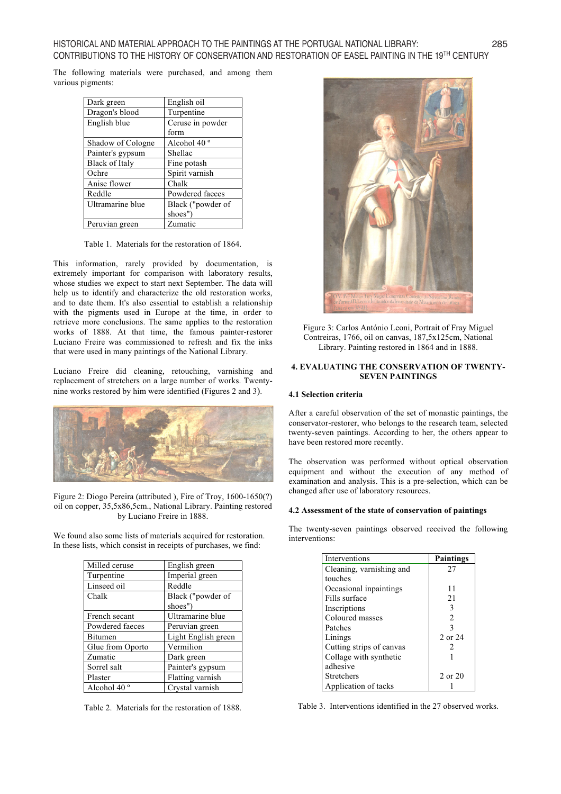The following materials were purchased, and among them various pigments:

| Dark green            | English oil             |  |
|-----------------------|-------------------------|--|
| Dragon's blood        | Turpentine              |  |
| English blue          | Ceruse in powder        |  |
|                       | form                    |  |
| Shadow of Cologne     | Alcohol 40 <sup>°</sup> |  |
| Painter's gypsum      | Shellac                 |  |
| <b>Black of Italy</b> | Fine potash             |  |
| Ochre                 | Spirit varnish          |  |
| Anise flower          | Chalk                   |  |
| Reddle                | Powdered faeces         |  |
| Ultramarine blue      | Black ("powder of       |  |
|                       | shoes")                 |  |
| Peruvian green        | Zumatic                 |  |

Table 1. Materials for the restoration of 1864.

This information, rarely provided by documentation, is extremely important for comparison with laboratory results, whose studies we expect to start next September. The data will help us to identify and characterize the old restoration works, and to date them. It's also essential to establish a relationship with the pigments used in Europe at the time, in order to retrieve more conclusions. The same applies to the restoration works of 1888. At that time, the famous painter-restorer Luciano Freire was commissioned to refresh and fix the inks that were used in many paintings of the National Library.

Luciano Freire did cleaning, retouching, varnishing and replacement of stretchers on a large number of works. Twentynine works restored by him were identified (Figures 2 and 3).



Figure 2: Diogo Pereira (attributed ), Fire of Troy, 1600-1650(?) oil on copper, 35,5x86,5cm., National Library. Painting restored by Luciano Freire in 1888.

We found also some lists of materials acquired for restoration. In these lists, which consist in receipts of purchases, we find:

| Milled ceruse           | English green       |  |
|-------------------------|---------------------|--|
| Turpentine              | Imperial green      |  |
| Linseed oil             | Reddle              |  |
| Chalk                   | Black ("powder of   |  |
|                         | shoes")             |  |
| French secant           | Ultramarine blue    |  |
| Powdered faeces         | Peruvian green      |  |
| <b>Bitumen</b>          | Light English green |  |
| Glue from Oporto        | Vermilion           |  |
| Zumatic                 | Dark green          |  |
| Sorrel salt             | Painter's gypsum    |  |
| Plaster                 | Flatting varnish    |  |
| Alcohol 40 <sup>°</sup> | Crystal varnish     |  |

Table 2. Materials for the restoration of 1888.



Figure 3: Carlos António Leoni, Portrait of Fray Miguel Contreiras, 1766, oil on canvas, 187,5x125cm, National Library. Painting restored in 1864 and in 1888.

## **4. EVALUATING THE CONSERVATION OF TWENTY-SEVEN PAINTINGS**

## **4.1 Selection criteria**

After a careful observation of the set of monastic paintings, the conservator-restorer, who belongs to the research team, selected twenty-seven paintings. According to her, the others appear to have been restored more recently.

The observation was performed without optical observation equipment and without the execution of any method of examination and analysis. This is a pre-selection, which can be changed after use of laboratory resources.

# **4.2 Assessment of the state of conservation of paintings**

The twenty-seven paintings observed received the following interventions:

| Interventions            | <b>Paintings</b> |
|--------------------------|------------------|
| Cleaning, varnishing and | 27               |
| touches                  |                  |
| Occasional inpaintings   | 11               |
| Fills surface            | 21               |
| Inscriptions             | 3                |
| Coloured masses          | $\overline{2}$   |
| Patches                  | 3                |
| Linings                  | 2 or 24          |
| Cutting strips of canvas | 2                |
| Collage with synthetic   |                  |
| adhesive                 |                  |
| <b>Stretchers</b>        | 2 or 20          |
| Application of tacks     |                  |

Table 3. Interventions identified in the 27 observed works.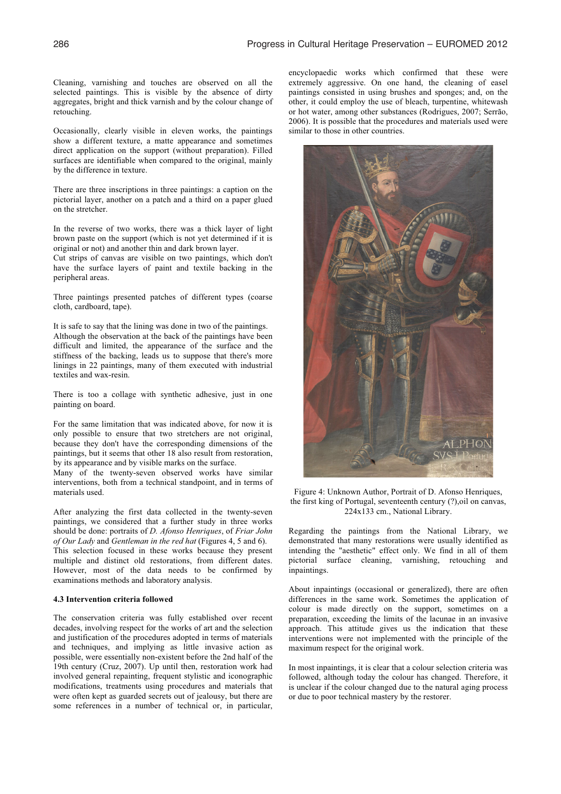Cleaning, varnishing and touches are observed on all the selected paintings. This is visible by the absence of dirty aggregates, bright and thick varnish and by the colour change of retouching.

Occasionally, clearly visible in eleven works, the paintings show a different texture, a matte appearance and sometimes direct application on the support (without preparation). Filled surfaces are identifiable when compared to the original, mainly by the difference in texture.

There are three inscriptions in three paintings: a caption on the pictorial layer, another on a patch and a third on a paper glued on the stretcher.

In the reverse of two works, there was a thick layer of light brown paste on the support (which is not yet determined if it is original or not) and another thin and dark brown layer.

Cut strips of canvas are visible on two paintings, which don't have the surface layers of paint and textile backing in the peripheral areas.

Three paintings presented patches of different types (coarse cloth, cardboard, tape).

It is safe to say that the lining was done in two of the paintings. Although the observation at the back of the paintings have been difficult and limited, the appearance of the surface and the stiffness of the backing, leads us to suppose that there's more linings in 22 paintings, many of them executed with industrial textiles and wax-resin.

There is too a collage with synthetic adhesive, just in one painting on board.

For the same limitation that was indicated above, for now it is only possible to ensure that two stretchers are not original, because they don't have the corresponding dimensions of the paintings, but it seems that other 18 also result from restoration, by its appearance and by visible marks on the surface.

Many of the twenty-seven observed works have similar interventions, both from a technical standpoint, and in terms of materials used.

After analyzing the first data collected in the twenty-seven paintings, we considered that a further study in three works should be done: portraits of *D. Afonso Henriques*, of *Friar John of Our Lady* and *Gentleman in the red hat* (Figures 4, 5 and 6). This selection focused in these works because they present multiple and distinct old restorations, from different dates. However, most of the data needs to be confirmed by examinations methods and laboratory analysis.

#### **4.3 Intervention criteria followed**

The conservation criteria was fully established over recent decades, involving respect for the works of art and the selection and justification of the procedures adopted in terms of materials and techniques, and implying as little invasive action as possible, were essentially non-existent before the 2nd half of the 19th century (Cruz, 2007). Up until then, restoration work had involved general repainting, frequent stylistic and iconographic modifications, treatments using procedures and materials that were often kept as guarded secrets out of jealousy, but there are some references in a number of technical or, in particular,

encyclopaedic works which confirmed that these were extremely aggressive. On one hand, the cleaning of easel paintings consisted in using brushes and sponges; and, on the other, it could employ the use of bleach, turpentine, whitewash or hot water, among other substances (Rodrigues, 2007; Serrão, 2006). It is possible that the procedures and materials used were similar to those in other countries.



Figure 4: Unknown Author, Portrait of D. Afonso Henriques, the first king of Portugal, seventeenth century (?),oil on canvas, 224x133 cm., National Library.

Regarding the paintings from the National Library, we demonstrated that many restorations were usually identified as intending the "aesthetic" effect only. We find in all of them pictorial surface cleaning, varnishing, retouching and inpaintings.

About inpaintings (occasional or generalized), there are often differences in the same work. Sometimes the application of colour is made directly on the support, sometimes on a preparation, exceeding the limits of the lacunae in an invasive approach. This attitude gives us the indication that these interventions were not implemented with the principle of the maximum respect for the original work.

In most inpaintings, it is clear that a colour selection criteria was followed, although today the colour has changed. Therefore, it is unclear if the colour changed due to the natural aging process or due to poor technical mastery by the restorer.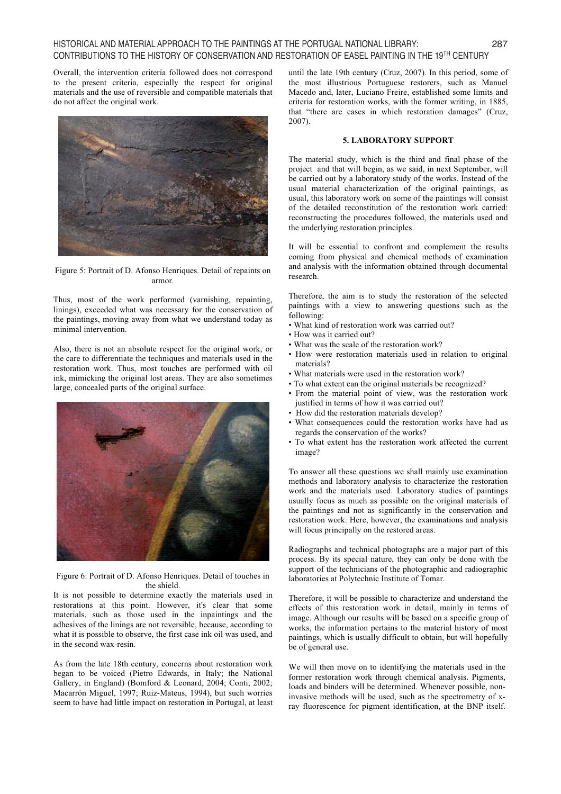Overall, the intervention criteria followed does not correspond to the present criteria, especially the respect for original materials and the use of reversible and compatible materials that do not affect the original work.



Figure 5: Portrait of D. Afonso Henriques. Detail of repaints on armor.

Thus, most of the work performed (varnishing, repainting, linings), exceeded what was necessary for the conservation of the paintings, moving away from what we understand today as minimal intervention.

Also, there is not an absolute respect for the original work, or the care to differentiate the techniques and materials used in the restoration work. Thus, most touches are performed with oil ink, mimicking the original lost areas. They are also sometimes large, concealed parts of the original surface.



Figure 6: Portrait of D. Afonso Henriques. Detail of touches in the shield.

It is not possible to determine exactly the materials used in restorations at this point. However, it's clear that some materials, such as those used in the inpaintings and the adhesives of the linings are not reversible, because, according to what it is possible to observe, the first case ink oil was used, and in the second wax-resin.

As from the late 18th century, concerns about restoration work began to be voiced (Pietro Edwards, in Italy; the National Gallery, in England) (Bomford & Leonard, 2004; Conti, 2002; Macarrón Miguel, 1997; Ruiz-Mateus, 1994), but such worries seem to have had little impact on restoration in Portugal, at least until the late 19th century (Cruz, 2007). In this period, some of the most illustrious Portuguese restorers, such as Manuel Macedo and, later, Luciano Freire, established some limits and criteria for restoration works, with the former writing, in 1885, that "there are cases in which restoration damages" (Cruz, 2007).

# **5. LABORATORY SUPPORT**

The material study, which is the third and final phase of the project and that will begin, as we said, in next September, will be carried out by a laboratory study of the works. Instead of the usual material characterization of the original paintings, as usual, this laboratory work on some of the paintings will consist of the detailed reconstitution of the restoration work carried: reconstructing the procedures followed, the materials used and the underlying restoration principles.

It will be essential to confront and complement the results coming from physical and chemical methods of examination and analysis with the information obtained through documental research.

Therefore, the aim is to study the restoration of the selected paintings with a view to answering questions such as the following:

- What kind of restoration work was carried out?
- How was it carried out?
- What was the scale of the restoration work?
- How were restoration materials used in relation to original materials?
- What materials were used in the restoration work?
- To what extent can the original materials be recognized?
- From the material point of view, was the restoration work justified in terms of how it was carried out?
- How did the restoration materials develop?
- What consequences could the restoration works have had as regards the conservation of the works?
- To what extent has the restoration work affected the current image?

To answer all these questions we shall mainly use examination methods and laboratory analysis to characterize the restoration work and the materials used. Laboratory studies of paintings usually focus as much as possible on the original materials of the paintings and not as significantly in the conservation and restoration work. Here, however, the examinations and analysis will focus principally on the restored areas.

Radiographs and technical photographs are a major part of this process. By its special nature, they can only be done with the support of the technicians of the photographic and radiographic laboratories at Polytechnic Institute of Tomar.

Therefore, it will be possible to characterize and understand the effects of this restoration work in detail, mainly in terms of image. Although our results will be based on a specific group of works, the information pertains to the material history of most paintings, which is usually difficult to obtain, but will hopefully be of general use.

We will then move on to identifying the materials used in the former restoration work through chemical analysis. Pigments, loads and binders will be determined. Whenever possible, noninvasive methods will be used, such as the spectrometry of xray fluorescence for pigment identification, at the BNP itself.